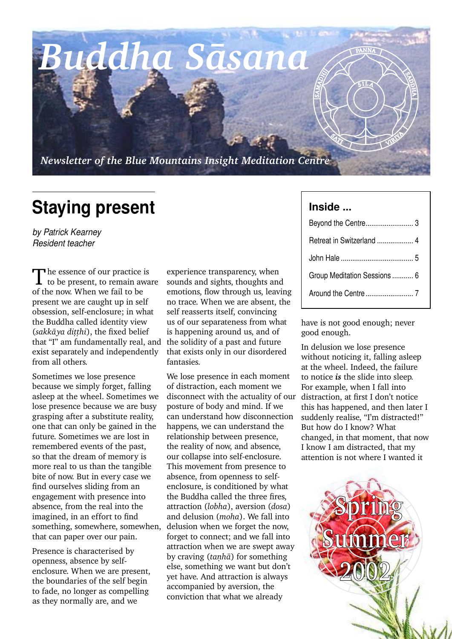*Buddha Sàsana*

*Newsletter of the Blue Mountains Insight Meditation Centre*

## **Staying present**

*by Patrick Kearney Resident teacher*

The essence of our practice is<br> **T** to be present, to remain aware of the now. When we fail to be present we are caught up in self obsession, self-enclosure; in what the Buddha called identity view (sakkāya ditthi), the fixed belief that "I" am fundamentally real, and exist separately and independently from all others.

Sometimes we lose presence because we simply forget, falling asleep at the wheel. Sometimes we lose presence because we are busy grasping after a substitute reality, one that can only be gained in the future. Sometimes we are lost in remembered events of the past, so that the dream of memory is more real to us than the tangible bite of now. But in every case we find ourselves sliding from an engagement with presence into absence, from the real into the imagined, in an effort to find something, somewhere, somewhen, that can paper over our pain.

Presence is characterised by openness, absence by selfenclosure. When we are present, the boundaries of the self begin to fade, no longer as compelling as they normally are, and we

experience transparency, when sounds and sights, thoughts and emotions, flow through us, leaving no trace. When we are absent, the self reasserts itself, convincing us of our separateness from what is happening around us, and of the solidity of a past and future that exists only in our disordered fantasies.

We lose presence in each moment of distraction, each moment we disconnect with the actuality of our posture of body and mind. If we can understand how disconnection happens, we can understand the relationship between presence, the reality of now, and absence, our collapse into self-enclosure. This movement from presence to absence, from openness to selfenclosure, is conditioned by what the Buddha called the three fires, attraction (*lobha*), aversion (*dosa*) and delusion (*moha*). We fall into delusion when we forget the now, forget to connect; and we fall into attraction when we are swept away by craving (*tanha*) for something else, something we want but don't yet have. And attraction is always accompanied by aversion, the conviction that what we already

## **Inside ...**

 $\mathcal{S}$ 

 $\langle \rangle$ 

SAMADA<br>SAMADAR<br>SAMADAR

| Retreat in Switzerland  4    |
|------------------------------|
|                              |
| Group Meditation Sessions  6 |
|                              |

S $5LL$   $\tilde{A}$ 

VIRI<sup>Y</sup>

 $\mathbb{Q}$ 

SAD<br>SK H A

PANNA

have is not good enough; never good enough.

In delusion we lose presence without noticing it, falling asleep at the wheel. Indeed, the failure to notice *is* the slide into sleep. For example, when I fall into distraction, at first I don't notice this has happened, and then later I suddenly realise, "I'm distracted!" But how do I know? What changed, in that moment, that now I know I am distracted, that my attention is not where I wanted it

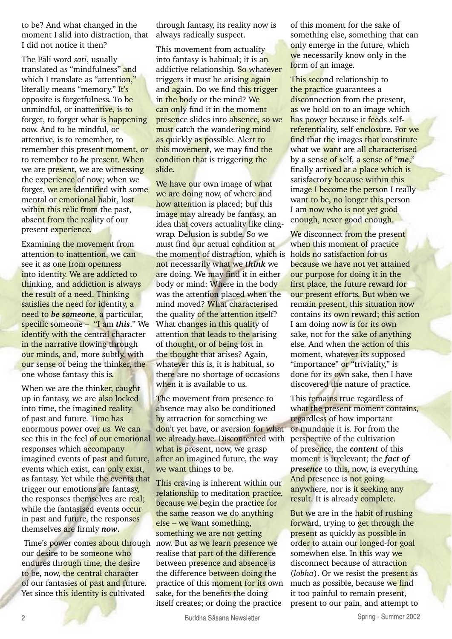to be? And what changed in the moment I slid into distraction, that I did not notice it then?

The Pàli word *sati*, usually translated as "mindfulness" and which I translate as "attention," literally means "memory." It's opposite is forgetfulness. To be unmindful, or inattentive, is to forget, to forget what is happening now. And to be mindful, or attentive, is to remember, to remember this present moment, or to remember to *be* present. When we are present, we are witnessing the experience of now; when we forget, we are identified with some mental or emotional habit, lost within this relic from the past, absent from the reality of our present experience.

Examining the movement from attention to inattention, we can see it as one from openness into identity. We are addicted to thinking, and addiction is always the result of a need. Thinking satisfies the need for identity, a need to *be someone*, a particular, specific someone – "I am *this*." We identify with the central character in the narrative flowing through our minds, and, more subtly, with our sense of being the thinker, the one whose fantasy this is.

When we are the thinker, caught up in fantasy, we are also locked into time, the imagined reality of past and future. Time has enormous power over us. We can see this in the feel of our emotional responses which accompany imagined events of past and future, events which exist, can only exist, as fantasy. Yet while the events that trigger our emotions are fantasy, the responses themselves are real; while the fantasised events occur in past and future, the responses themselves are firmly *now*.

Time's power comes about through now. But as we learn presence we our desire to be someone who endures through time, the desire to be, now, the central character of our fantasies of past and future. Yet since this identity is cultivated

through fantasy, its reality now is always radically suspect.

This movement from actuality into fantasy is habitual; it is an addictive relationship. So whatever triggers it must be arising again and again. Do we find this trigger in the body or the mind? We can only find it in the moment presence slides into absence, so we must catch the wandering mind as quickly as possible. Alert to this movement, we may find the condition that is triggering the slide.

We have our own image of what we are doing now, of where and how attention is placed; but this image may already be fantasy, an idea that covers actuality like clingwrap. Delusion is subtle. So we must find our actual condition at the moment of distraction, which is not necessarily what we *think* we are doing. We may find it in either body or mind: Where in the body was the attention placed when the mind moved? What characterised the quality of the attention itself? What changes in this quality of attention that leads to the arising of thought, or of being lost in the thought that arises? Again, whatever this is, it is habitual, so there are no shortage of occasions when it is available to us.

The movement from presence to absence may also be conditioned by attraction for something we don't yet have, or aversion for what we already have. Discontented with what is present, now, we grasp after an imagined future, the way we want things to be.

This craving is inherent within our relationship to meditation practice, because we begin the practice for the same reason we do anything else – we want something, something we are not getting realise that part of the difference between presence and absence is the difference between doing the practice of this moment for its own sake, for the benefits the doing itself creates; or doing the practice

of this moment for the sake of something else, something that can only emerge in the future, which we necessarily know only in the form of an image.

This second relationship to the practice guarantees a disconnection from the present, as we hold on to an image which has power because it feeds selfreferentiality, self-enclosure. For we find that the images that constitute what we want are all characterised by a sense of self, a sense of "*me*," finally arrived at a place which is satisfactory because within this image I become the person I really want to be, no longer this person I am now who is not yet good enough, never good enough.

We disconnect from the present when this moment of practice holds no satisfaction for us because we have not yet attained our purpose for doing it in the first place, the future reward for our present efforts. But when we remain present, this situation now contains its own reward; this action I am doing now is for its own sake, not for the sake of anything else. And when the action of this moment, whatever its supposed "importance" or "triviality," is done for its own sake, then I have discovered the nature of practice.

This remains true regardless of what the present moment contains, regardless of how important or mundane it is. For from the perspective of the cultivation of presence, the *content* of this moment is irrelevant; the *fact of presence* to this, now, is everything. And presence is not going anywhere, nor is it seeking any result. It is already complete.

But we are in the habit of rushing forward, trying to get through the present as quickly as possible in order to attain our longed-for goal somewhen else. In this way we disconnect because of attraction (*lobha*). Or we resist the present as much as possible, because we find it too painful to remain present, present to our pain, and attempt to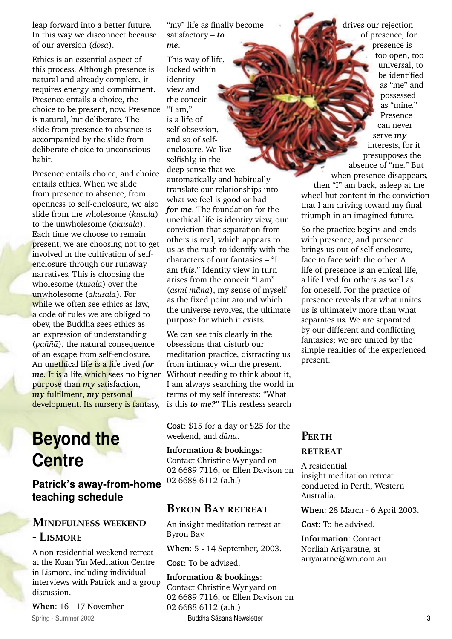leap forward into a better future. In this way we disconnect because of our aversion (*dosa*).

Ethics is an essential aspect of this process. Although presence is natural and already complete, it requires energy and commitment. Presence entails a choice, the choice to be present, now. Presence is natural, but deliberate. The slide from presence to absence is accompanied by the slide from deliberate choice to unconscious habit.

Presence entails choice, and choice entails ethics. When we slide from presence to absence, from openness to self-enclosure, we also slide from the wholesome (*kusala*) to the unwholesome (*akusala*). Each time we choose to remain present, we are choosing not to get involved in the cultivation of selfenclosure through our runaway narratives. This is choosing the wholesome (*kusala*) over the unwholesome (*akusala*). For while we often see ethics as law. a code of rules we are obliged to obey, the Buddha sees ethics as an expression of understanding (*pa¤¤à*), the natural consequence of an escape from self-enclosure. An unethical life is a life lived *for me*. It is a life which sees no higher purpose than *my* satisfaction, *my* fulfilment, *my* personal development. Its nursery is fantasy,

## **Beyond the Centre**

**Patrick's away-from-home teaching schedule**

## **MINDFULNESS WEEKEND - LISMORE**

A non-residential weekend retreat at the Kuan Yin Meditation Centre in Lismore, including individual interviews with Patrick and a group discussion.

**When**: 16 - 17 November

"my" life as finally become satisfactory – *to me*.

This way of life, locked within identity view and the conceit "I am" is a life of self-obsession, and so of selfenclosure. We live selfishly, in the deep sense that we automatically and habitually translate our relationships into what we feel is good or bad *for me*. The foundation for the unethical life is identity view, our conviction that separation from others is real, which appears to us as the rush to identify with the characters of our fantasies – "I am *this*." Identity view in turn arises from the conceit "I am" (*asmi màna*), my sense of myself as the fixed point around which the universe revolves, the ultimate purpose for which it exists.

We can see this clearly in the obsessions that disturb our meditation practice, distracting us from intimacy with the present. Without needing to think about it, I am always searching the world in terms of my self interests: "What is this *to me?*" This restless search

**Cost**: \$15 for a day or \$25 for the weekend, and *dàna*.

**Information & bookings**: Contact Christine Wynyard on 02 6689 7116, or Ellen Davison on 02 6688 6112 (a.h.)

## **BYRON BAY RETREAT**

An insight meditation retreat at Byron Bay.

**When**: 5 - 14 September, 2003.

**Cost**: To be advised.

2 Spring - Summer 2002 Spring - Summer 2002 Spring - Summer 2002 Spring - Summer 2002 Spring - Summer 2002 Spring - Summer 2003 Spring - Summer 2002 Spring - Summer 2002 Spring - Summer 2003 Spring - Summer 2003 Spring - S **Information & bookings**: Contact Christine Wynyard on 02 6689 7116, or Ellen Davison on 02 6688 6112 (a.h.)

drives our rejection of presence, for presence is too open, too universal, to be identified as "me" and possessed as "mine." Presence can never serve *my* interests, for it presupposes the absence of "me." But when presence disappears, then "I" am back, asleep at the wheel but content in the conviction that I am driving toward my final triumph in an imagined future.

So the practice begins and ends with presence, and presence brings us out of self-enclosure, face to face with the other. A life of presence is an ethical life, a life lived for others as well as for oneself. For the practice of presence reveals that what unites us is ultimately more than what separates us. We are separated by our different and conflicting fantasies; we are united by the simple realities of the experienced present.

## **PERTH**

#### **RETREAT**

A residential insight meditation retreat conducted in Perth, Western Australia.

**When**: 28 March - 6 April 2003.

**Cost**: To be advised.

**Information**: Contact Norliah Ariyaratne, at ariyaratne@wn.com.au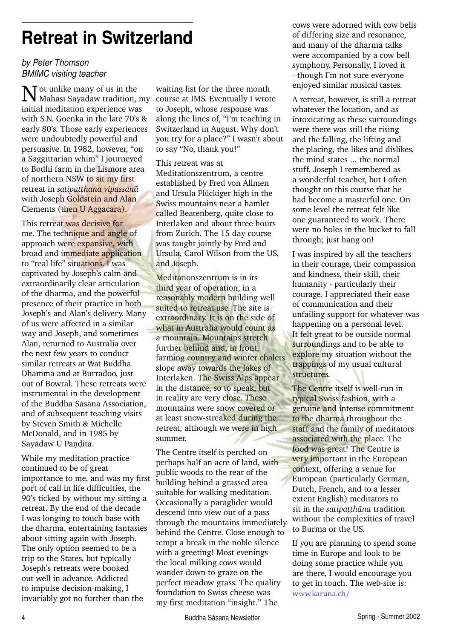## **Retreat in Switzerland**

### *by Peter Thomson BMIMC visiting teacher*

Not unlike many of us in the Mahàsã Sayàdaw tradition, my initial meditation experience was with S.N. Goenka in the late 70's & early 80's. Those early experiences were undoubtedly powerful and persuasive. In 1982, however, "on a Saggittarian whim" I journeyed to Bodhi farm in the Lismore area of northern NSW to sit my first retreat in *satipatthana vipassanā* with Joseph Goldstein and Alan Clements (then U Aggacara).

This retreat was decisive for me. The technique and angle of approach were expansive, with broad and immediate application to "real life" situations. I was captivated by Joseph's calm and extraordinarily clear articulation of the dharma, and the powerful presence of their practice in both Joseph's and Alan's delivery. Many of us were affected in a similar way and Joseph, and sometimes Alan, returned to Australia over the next few years to conduct similar retreats at Wat Buddha Dhamma and at Burradoo, just out of Bowral. These retreats were instrumental in the development of the Buddha Sàsana Association, and of subsequent teaching visits by Steven Smith & Michelle McDonald, and in 1985 by Sayādaw U Pandita.

While my meditation practice continued to be of great importance to me, and was my first port of call in life difficulties, the 90's ticked by without my sitting a retreat. By the end of the decade I was longing to touch base with the dharma, entertaining fantasies about sitting again with Joseph. The only option seemed to be a trip to the States, but typically Joseph's retreats were booked out well in advance. Addicted to impulse decision-making, I invariably got no further than the

waiting list for the three month course at IMS. Eventually I wrote to Joseph, whose response was along the lines of, "I'm teaching in Switzerland in August. Why don't you try for a place?" I wasn't about to say "No, thank you!"

#### This retreat was at

Meditationszentrum, a centre established by Fred von Allmen and Ursula Flückiger high in the Swiss mountains near a hamlet called Beatenberg, quite close to Interlaken and about three hours from Zurich. The 15 day course was taught jointly by Fred and Ursula, Carol Wilson from the US, and Joseph.

Meditationszentrum is in its third year of operation, in a reasonably modern building well suited to retreat use. The site is extraordinary. It is on the side of what in Australia would count as a mountain. Mountains stretch further behind and, in front, farming country and winter chalets slope away towards the lakes of Interlaken. The Swiss Alps appear in the distance, so to speak, but in reality are very close. These mountains were snow covered or at least snow-streaked during the retreat, although we were in high summer.

The Centre itself is perched on perhaps half an acre of land, with public woods to the rear of the building behind a grassed area suitable for walking meditation. Occasionally a paraglider would descend into view out of a pass through the mountains immediately behind the Centre. Close enough to tempt a break in the noble silence with a greeting! Most evenings the local milking cows would wander down to graze on the perfect meadow grass. The quality foundation to Swiss cheese was my first meditation "insight." The

cows were adorned with cow bells of differing size and resonance, and many of the dharma talks were accompanied by a cow bell symphony. Personally, I loved it - though I'm not sure everyone enjoyed similar musical tastes.

A retreat, however, is still a retreat whatever the location, and as intoxicating as these surroundings were there was still the rising and the falling, the lifting and the placing, the likes and dislikes, the mind states ... the normal stuff. Joseph I remembered as a wonderful teacher, but I often thought on this course that he had become a masterful one. On some level the retreat felt like one guaranteed to work. There were no holes in the bucket to fall through; just hang on!

I was inspired by all the teachers in their courage, their compassion and kindness, their skill, their humanity - particularly their courage. I appreciated their ease of communication and their unfailing support for whatever was happening on a personal level. It felt great to be outside normal surroundings and to be able to explore my situation without the trappings of my usual cultural structures.

The Centre itself is well-run in typical Swiss fashion, with a genuine and intense commitment to the dharma throughout the staff and the family of meditators associated with the place. The food was great! The Centre is very important in the European context, offering a venue for European (particularly German, Dutch, French, and to a lesser extent English) meditators to sit in the *satipatthāna* tradition without the complexities of travel to Burma or the US.

If you are planning to spend some time in Europe and look to be doing some practice while you are there, I would encourage you to get in touch. The web-site is: www.karuna.ch/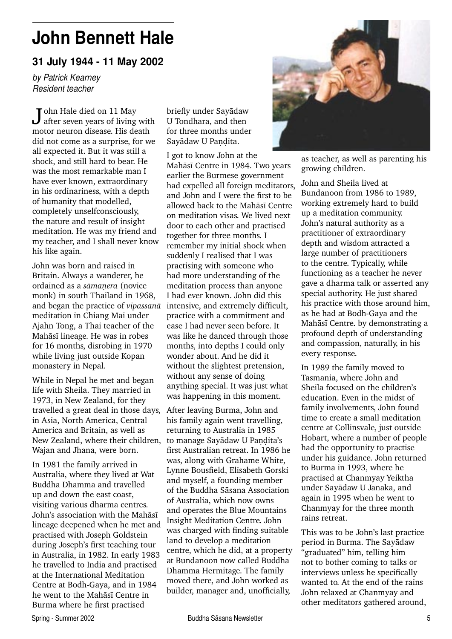## **John Bennett Hale**

**31 July 1944 - 11 May 2002**

*by Patrick Kearney Resident teacher*

John Hale died on 11 May<br>after seven years of living with motor neuron disease. His death did not come as a surprise, for we all expected it. But it was still a shock, and still hard to bear. He was the most remarkable man I have ever known, extraordinary in his ordinariness, with a depth of humanity that modelled, completely unselfconsciously, the nature and result of insight meditation. He was my friend and my teacher, and I shall never know his like again.

John was born and raised in Britain. Always a wanderer, he ordained as a *sāmanera* (novice monk) in south Thailand in 1968, and began the practice of *vipassanà* meditation in Chiang Mai under Ajahn Tong, a Thai teacher of the Mahàsã lineage. He was in robes for 16 months, disrobing in 1970 while living just outside Kopan monastery in Nepal.

While in Nepal he met and began life with Sheila. They married in 1973, in New Zealand, for they travelled a great deal in those days, in Asia, North America, Central America and Britain, as well as New Zealand, where their children, Wajan and Jhana, were born.

In 1981 the family arrived in Australia, where they lived at Wat Buddha Dhamma and travelled up and down the east coast, visiting various dharma centres. John's association with the Mahàsã lineage deepened when he met and practised with Joseph Goldstein during Joseph's first teaching tour in Australia, in 1982. In early 1983 he travelled to India and practised at the International Meditation Centre at Bodh-Gaya, and in 1984 he went to the Mahàsã Centre in Burma where he first practised

briefly under Sayàdaw U Tondhara, and then for three months under Sayādaw U Pandita.

I got to know John at the Mahàsã Centre in 1984. Two years earlier the Burmese government had expelled all foreign meditators, and John and I were the first to be allowed back to the Mahàsã Centre on meditation visas. We lived next door to each other and practised together for three months. I remember my initial shock when suddenly I realised that I was practising with someone who had more understanding of the meditation process than anyone I had ever known. John did this intensive, and extremely difficult, practice with a commitment and ease I had never seen before. It was like he danced through those months, into depths I could only wonder about. And he did it without the slightest pretension, without any sense of doing anything special. It was just what was happening in this moment.

After leaving Burma, John and his family again went travelling, returning to Australia in 1985 to manage Sayādaw U Pandita's first Australian retreat. In 1986 he was, along with Grahame White, Lynne Bousfield, Elisabeth Gorski and myself, a founding member of the Buddha Sàsana Association of Australia, which now owns and operates the Blue Mountains Insight Meditation Centre. John was charged with finding suitable land to develop a meditation centre, which he did, at a property at Bundanoon now called Buddha Dhamma Hermitage. The family moved there, and John worked as builder, manager and, unofficially,



as teacher, as well as parenting his growing children.

John and Sheila lived at Bundanoon from 1986 to 1989, working extremely hard to build up a meditation community. John's natural authority as a practitioner of extraordinary depth and wisdom attracted a large number of practitioners to the centre. Typically, while functioning as a teacher he never gave a dharma talk or asserted any special authority. He just shared his practice with those around him, as he had at Bodh-Gaya and the Mahàsã Centre. by demonstrating a profound depth of understanding and compassion, naturally, in his every response.

In 1989 the family moved to Tasmania, where John and Sheila focused on the children's education. Even in the midst of family involvements, John found time to create a small meditation centre at Collinsvale, just outside Hobart, where a number of people had the opportunity to practise under his guidance. John returned to Burma in 1993, where he practised at Chanmyay Yeiktha under Sayàdaw U Janaka, and again in 1995 when he went to Chanmyay for the three month rains retreat.

This was to be John's last practice period in Burma. The Sayàdaw "graduated" him, telling him not to bother coming to talks or interviews unless he specifically wanted to. At the end of the rains John relaxed at Chanmyay and other meditators gathered around,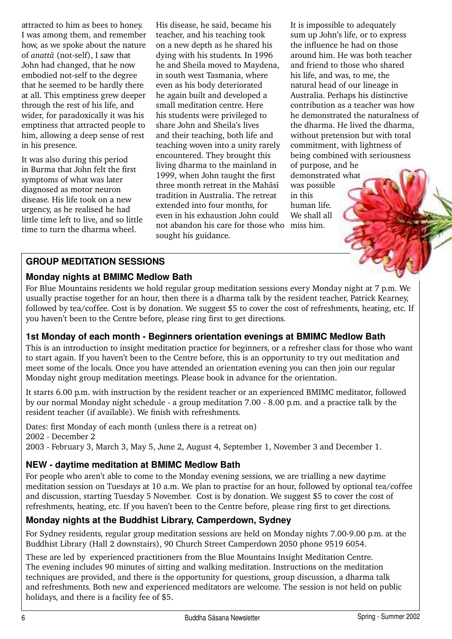attracted to him as bees to honey. I was among them, and remember how, as we spoke about the nature of *anattà* (not-self), I saw that John had changed, that he now embodied not-self to the degree that he seemed to be hardly there at all. This emptiness grew deeper through the rest of his life, and wider, for paradoxically it was his emptiness that attracted people to him, allowing a deep sense of rest in his presence.

It was also during this period in Burma that John felt the first symptoms of what was later diagnosed as motor neuron disease. His life took on a new urgency, as he realised he had little time left to live, and so little time to turn the dharma wheel.

His disease, he said, became his teacher, and his teaching took on a new depth as he shared his dying with his students. In 1996 he and Sheila moved to Maydena, in south west Tasmania, where even as his body deteriorated he again built and developed a small meditation centre. Here his students were privileged to share John and Sheila's lives and their teaching, both life and teaching woven into a unity rarely encountered. They brought this living dharma to the mainland in 1999, when John taught the first three month retreat in the Mahàsã tradition in Australia. The retreat extended into four months, for even in his exhaustion John could not abandon his care for those who miss him. sought his guidance.

It is impossible to adequately sum up John's life, or to express the influence he had on those around him. He was both teacher and friend to those who shared his life, and was, to me, the natural head of our lineage in Australia. Perhaps his distinctive contribution as a teacher was how he demonstrated the naturalness of the dharma. He lived the dharma, without pretension but with total commitment, with lightness of being combined with seriousness of purpose, and he demonstrated what

was possible in this human life. We shall all

## **GROUP MEDITATION SESSIONS**

## **Monday nights at BMIMC Medlow Bath**

For Blue Mountains residents we hold regular group meditation sessions every Monday night at 7 p.m. We usually practise together for an hour, then there is a dharma talk by the resident teacher, Patrick Kearney, followed by tea/coffee. Cost is by donation. We suggest \$5 to cover the cost of refreshments, heating, etc. If you haven't been to the Centre before, please ring first to get directions.

## **1st Monday of each month - Beginners orientation evenings at BMIMC Medlow Bath**

This is an introduction to insight meditation practice for beginners, or a refresher class for those who want to start again. If you haven't been to the Centre before, this is an opportunity to try out meditation and meet some of the locals. Once you have attended an orientation evening you can then join our regular Monday night group meditation meetings. Please book in advance for the orientation.

It starts 6.00 p.m. with instruction by the resident teacher or an experienced BMIMC meditator, followed by our normal Monday night schedule - a group meditation 7.00 - 8.00 p.m. and a practice talk by the resident teacher (if available). We finish with refreshments.

Dates: first Monday of each month (unless there is a retreat on) 2002 - December 2

2003 - February 3, March 3, May 5, June 2, August 4, September 1, November 3 and December 1.

## **NEW - daytime meditation at BMIMC Medlow Bath**

For people who aren't able to come to the Monday evening sessions, we are trialling a new daytime meditation session on Tuesdays at 10 a.m. We plan to practise for an hour, followed by optional tea/coffee and discussion, starting Tuesday 5 November. Cost is by donation. We suggest \$5 to cover the cost of refreshments, heating, etc. If you haven't been to the Centre before, please ring first to get directions.

## **Monday nights at the Buddhist Library, Camperdown, Sydney**

For Sydney residents, regular group meditation sessions are held on Monday nights 7.00-9.00 p.m. at the Buddhist Library (Hall 2 downstairs), 90 Church Street Camperdown 2050 phone 9519 6054.

These are led by experienced practitioners from the Blue Mountains Insight Meditation Centre. The evening includes 90 minutes of sitting and walking meditation. Instructions on the meditation techniques are provided, and there is the opportunity for questions, group discussion, a dharma talk and refreshments. Both new and experienced meditators are welcome. The session is not held on public holidays, and there is a facility fee of \$5.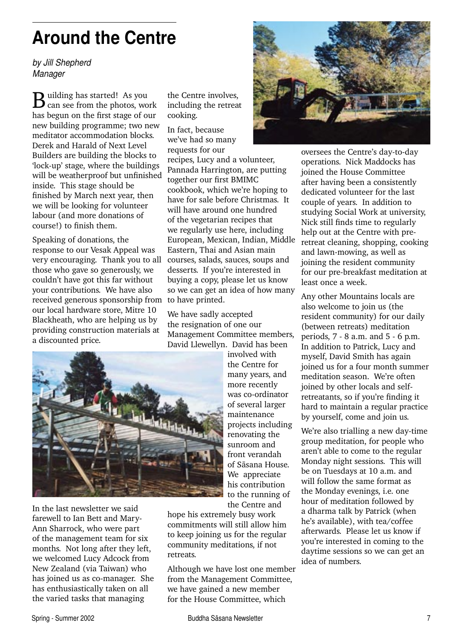# **Around the Centre**

*by Jill Shepherd Manager*

**B**uilding has started! As you has begun on the first stage of our new building programme; two new meditator accommodation blocks. Derek and Harald of Next Level Builders are building the blocks to 'lock-up' stage, where the buildings will be weatherproof but unfinished inside. This stage should be finished by March next year, then we will be looking for volunteer labour (and more donations of course!) to finish them.

Speaking of donations, the response to our Vesak Appeal was very encouraging. Thank you to all those who gave so generously, we couldn't have got this far without your contributions. We have also received generous sponsorship from to have printed. our local hardware store, Mitre 10 Blackheath, who are helping us by providing construction materials at a discounted price.

the Centre involves, including the retreat cooking.

In fact, because we've had so many requests for our

recipes, Lucy and a volunteer, Pannada Harrington, are putting together our first BMIMC cookbook, which we're hoping to have for sale before Christmas. It will have around one hundred of the vegetarian recipes that we regularly use here, including European, Mexican, Indian, Middle Eastern, Thai and Asian main courses, salads, sauces, soups and desserts. If you're interested in buying a copy, please let us know so we can get an idea of how many

We have sadly accepted the resignation of one our Management Committee members, David Llewellyn. David has been



In the last newsletter we said farewell to Ian Bett and Mary-Ann Sharrock, who were part of the management team for six months. Not long after they left, we welcomed Lucy Adcock from New Zealand (via Taiwan) who has joined us as co-manager. She has enthusiastically taken on all the varied tasks that managing

involved with the Centre for many years, and more recently was co-ordinator of several larger maintenance projects including renovating the sunroom and front verandah of Sàsana House. We appreciate his contribution to the running of the Centre and

hope his extremely busy work commitments will still allow him to keep joining us for the regular community meditations, if not retreats.

Although we have lost one member from the Management Committee, we have gained a new member for the House Committee, which



oversees the Centre's day-to-day operations. Nick Maddocks has joined the House Committee after having been a consistently dedicated volunteer for the last couple of years. In addition to studying Social Work at university, Nick still finds time to regularly help out at the Centre with preretreat cleaning, shopping, cooking and lawn-mowing, as well as joining the resident community for our pre-breakfast meditation at least once a week.

Any other Mountains locals are also welcome to join us (the resident community) for our daily (between retreats) meditation periods, 7 - 8 a.m. and 5 - 6 p.m. In addition to Patrick, Lucy and myself, David Smith has again joined us for a four month summer meditation season. We're often joined by other locals and selfretreatants, so if you're finding it hard to maintain a regular practice by yourself, come and join us.

We're also trialling a new day-time group meditation, for people who aren't able to come to the regular Monday night sessions. This will be on Tuesdays at 10 a.m. and will follow the same format as the Monday evenings, i.e. one hour of meditation followed by a dharma talk by Patrick (when he's available), with tea/coffee afterwards. Please let us know if you're interested in coming to the daytime sessions so we can get an idea of numbers.